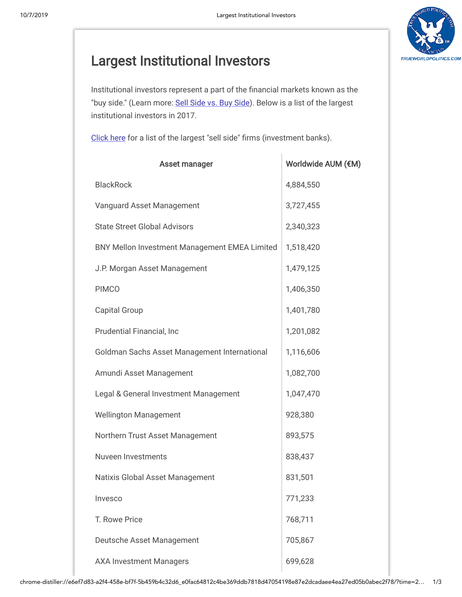$\mathbf{I}$ 



## Largest [Institutional](https://www.wallstreetprep.com/knowledge/largest-institutional-investors/) Investors

Institutional investors represent a part of the financial markets known as the "buy side." (Learn more: [Sell Side vs. Buy Side\)](https://www.wallstreetprep.com/knowledge/sell-side-vs-buy-side/). Below is a list of the largest institutional investors in 2017.

[Click here](https://www.wallstreetprep.com/knowledge/investment-banks-list/) for a list of the largest "sell side" firms (investment banks).

| <b>Asset manager</b>                          | Worldwide AUM (€M) |
|-----------------------------------------------|--------------------|
| <b>BlackRock</b>                              | 4,884,550          |
| Vanguard Asset Management                     | 3,727,455          |
| <b>State Street Global Advisors</b>           | 2,340,323          |
| BNY Mellon Investment Management EMEA Limited | 1,518,420          |
| J.P. Morgan Asset Management                  | 1,479,125          |
| <b>PIMCO</b>                                  | 1,406,350          |
| <b>Capital Group</b>                          | 1,401,780          |
| Prudential Financial, Inc                     | 1,201,082          |
| Goldman Sachs Asset Management International  | 1,116,606          |
| Amundi Asset Management                       | 1,082,700          |
| Legal & General Investment Management         | 1,047,470          |
| <b>Wellington Management</b>                  | 928,380            |
| Northern Trust Asset Management               | 893,575            |
| Nuveen Investments                            | 838,437            |
| Natixis Global Asset Management               | 831,501            |
| Invesco                                       | 771,233            |
| T. Rowe Price                                 | 768,711            |
| Deutsche Asset Management                     | 705,867            |
| <b>AXA Investment Managers</b>                | 699,628            |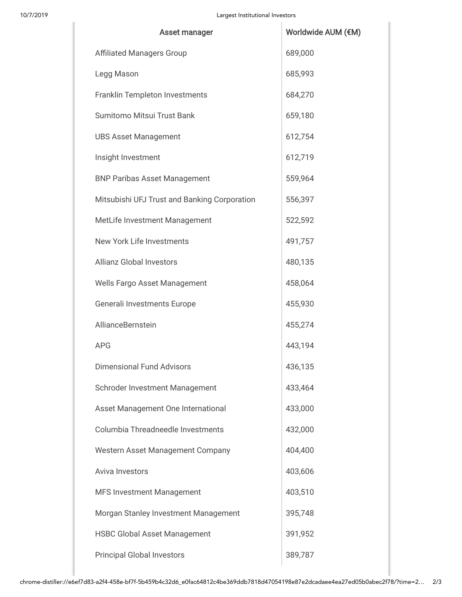| Asset manager                                | Worldwide AUM (€M) |
|----------------------------------------------|--------------------|
| <b>Affiliated Managers Group</b>             | 689,000            |
| Legg Mason                                   | 685,993            |
| <b>Franklin Templeton Investments</b>        | 684,270            |
| Sumitomo Mitsui Trust Bank                   | 659,180            |
| <b>UBS Asset Management</b>                  | 612,754            |
| Insight Investment                           | 612,719            |
| <b>BNP Paribas Asset Management</b>          | 559,964            |
| Mitsubishi UFJ Trust and Banking Corporation | 556,397            |
| MetLife Investment Management                | 522,592            |
| New York Life Investments                    | 491,757            |
| <b>Allianz Global Investors</b>              | 480,135            |
| Wells Fargo Asset Management                 | 458,064            |
| Generali Investments Europe                  | 455,930            |
| AllianceBernstein                            | 455,274            |
| <b>APG</b>                                   | 443,194            |
| <b>Dimensional Fund Advisors</b>             | 436,135            |
| Schroder Investment Management               | 433,464            |
| Asset Management One International           | 433,000            |
| Columbia Threadneedle Investments            | 432,000            |
| Western Asset Management Company             | 404,400            |
| Aviva Investors                              | 403,606            |
| <b>MFS Investment Management</b>             | 403,510            |
| Morgan Stanley Investment Management         | 395,748            |
| <b>HSBC Global Asset Management</b>          | 391,952            |
| <b>Principal Global Investors</b>            | 389,787            |